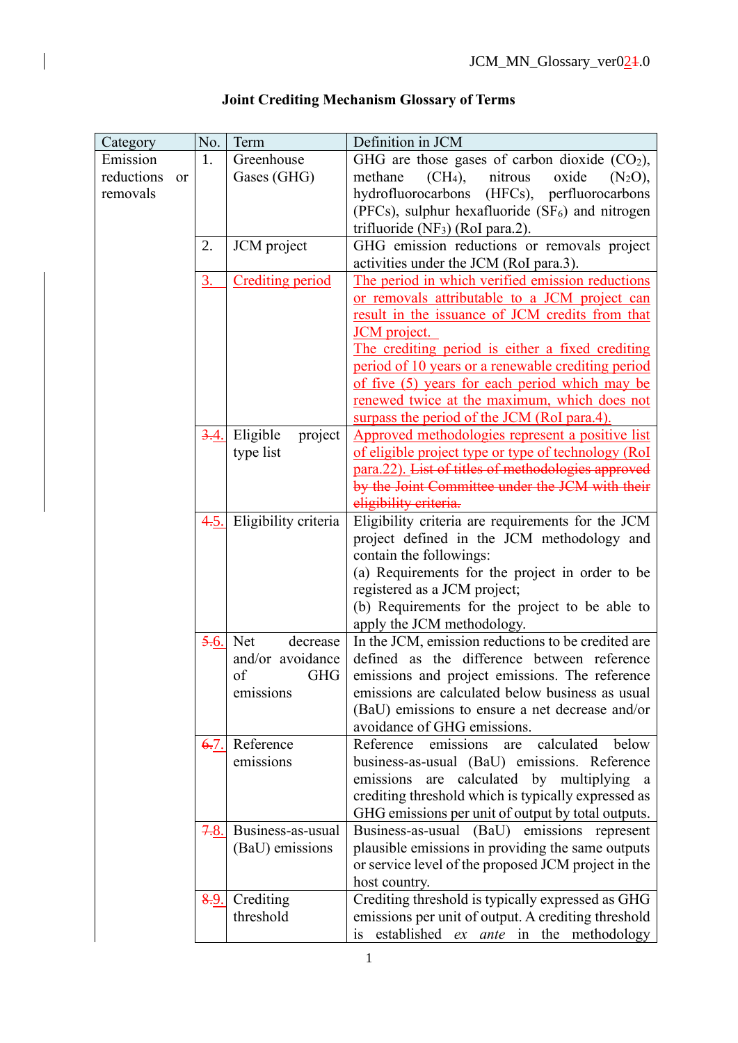| Category   |           | No.  | Term                    | Definition in JCM                                                |
|------------|-----------|------|-------------------------|------------------------------------------------------------------|
| Emission   |           | 1.   | Greenhouse              | GHG are those gases of carbon dioxide $(CO2)$ ,                  |
| reductions | <b>or</b> |      | Gases (GHG)             | nitrous<br>methane<br>(CH <sub>4</sub> ),<br>oxide<br>$(N_2O)$ , |
| removals   |           |      |                         | hydrofluorocarbons (HFCs), perfluorocarbons                      |
|            |           |      |                         | (PFCs), sulphur hexafluoride (SF <sub>6</sub> ) and nitrogen     |
|            |           |      |                         | trifluoride (NF $_3$ ) (RoI para.2).                             |
|            |           | 2.   | JCM project             | GHG emission reductions or removals project                      |
|            |           |      |                         | activities under the JCM (RoI para.3).                           |
|            |           | 3.   | <b>Crediting period</b> | The period in which verified emission reductions                 |
|            |           |      |                         | or removals attributable to a JCM project can                    |
|            |           |      |                         | result in the issuance of JCM credits from that                  |
|            |           |      |                         | JCM project.                                                     |
|            |           |      |                         | The crediting period is either a fixed crediting                 |
|            |           |      |                         | period of 10 years or a renewable crediting period               |
|            |           |      |                         | of five (5) years for each period which may be                   |
|            |           |      |                         | renewed twice at the maximum, which does not                     |
|            |           |      |                         | surpass the period of the JCM (RoI para.4).                      |
|            |           | 3.4. | Eligible<br>project     | Approved methodologies represent a positive list                 |
|            |           |      | type list               | of eligible project type or type of technology (RoI)             |
|            |           |      |                         | para.22). List of titles of methodologies approved               |
|            |           |      |                         | by the Joint Committee under the JCM with their                  |
|            |           |      |                         | eligibility criteria.                                            |
|            |           | 4.5. | Eligibility criteria    | Eligibility criteria are requirements for the JCM                |
|            |           |      |                         | project defined in the JCM methodology and                       |
|            |           |      |                         | contain the followings:                                          |
|            |           |      |                         | (a) Requirements for the project in order to be                  |
|            |           |      |                         | registered as a JCM project;                                     |
|            |           |      |                         | (b) Requirements for the project to be able to                   |
|            |           |      |                         | apply the JCM methodology.                                       |
|            |           | 5.6. | Net<br>decrease         | In the JCM, emission reductions to be credited are               |
|            |           |      | and/or avoidance        | defined as the difference between reference                      |
|            |           |      | <b>GHG</b><br>of        | emissions and project emissions. The reference                   |
|            |           |      | emissions               | emissions are calculated below business as usual                 |
|            |           |      |                         | (BaU) emissions to ensure a net decrease and/or                  |
|            |           |      |                         | avoidance of GHG emissions.                                      |
|            |           | 6.7. | Reference               | calculated<br>Reference<br>emissions<br>below<br>are             |
|            |           |      | emissions               | business-as-usual (BaU) emissions. Reference                     |
|            |           |      |                         | are calculated by multiplying a<br>emissions                     |
|            |           |      |                         | crediting threshold which is typically expressed as              |
|            |           |      |                         | GHG emissions per unit of output by total outputs.               |
|            |           | 7.8. | Business-as-usual       | Business-as-usual<br>(BaU) emissions represent                   |
|            |           |      | (BaU) emissions         | plausible emissions in providing the same outputs                |
|            |           |      |                         | or service level of the proposed JCM project in the              |
|            |           |      |                         | host country.                                                    |
|            |           | 8.9. | Crediting               | Crediting threshold is typically expressed as GHG                |
|            |           |      | threshold               | emissions per unit of output. A crediting threshold              |
|            |           |      |                         | established ex ante in the methodology<br>is                     |

## **Joint Crediting Mechanism Glossary of Terms**

 $\overline{\phantom{a}}$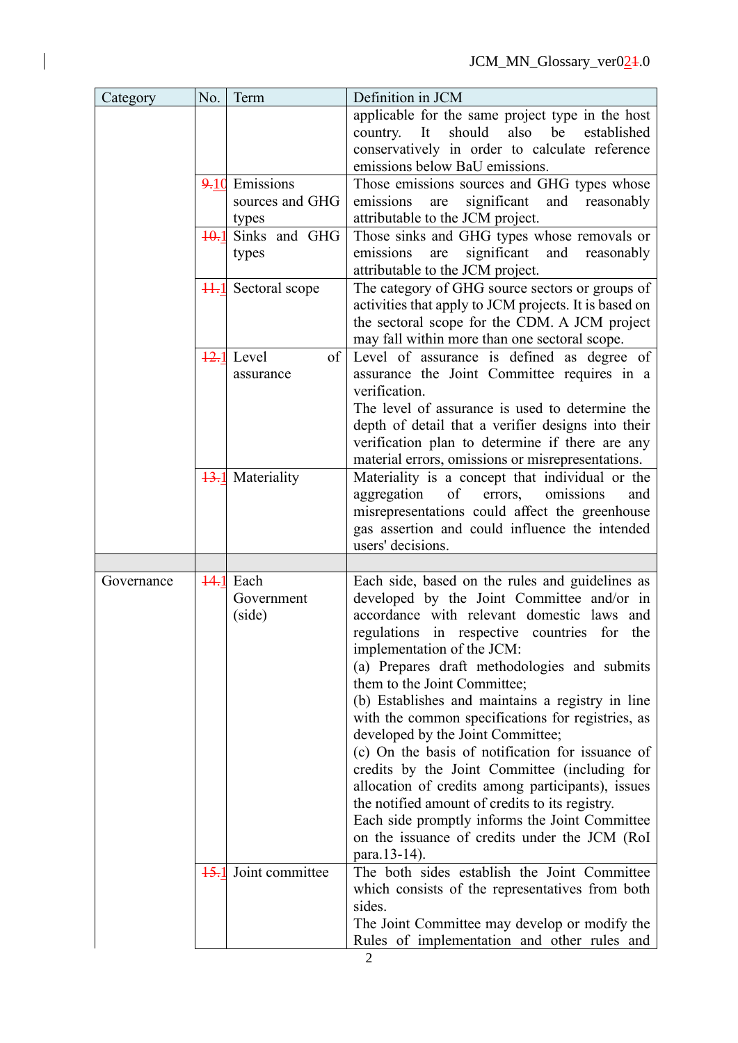| Category   | No.     | Term                                           | Definition in JCM                                                                                                                                                                                                                                                                                                                                                                                                                                                                                                                                                                                                                                                                                                                                                                          |
|------------|---------|------------------------------------------------|--------------------------------------------------------------------------------------------------------------------------------------------------------------------------------------------------------------------------------------------------------------------------------------------------------------------------------------------------------------------------------------------------------------------------------------------------------------------------------------------------------------------------------------------------------------------------------------------------------------------------------------------------------------------------------------------------------------------------------------------------------------------------------------------|
|            |         |                                                | applicable for the same project type in the host<br>also<br>should<br>be<br>established<br>It<br>country.<br>conservatively in order to calculate reference<br>emissions below BaU emissions.                                                                                                                                                                                                                                                                                                                                                                                                                                                                                                                                                                                              |
|            | 9.10    | Emissions<br>sources and GHG<br>types          | Those emissions sources and GHG types whose<br>significant<br>and<br>emissions<br>reasonably<br>are<br>attributable to the JCM project.                                                                                                                                                                                                                                                                                                                                                                                                                                                                                                                                                                                                                                                    |
|            | $+0.1$  | Sinks and GHG<br>types                         | Those sinks and GHG types whose removals or<br>significant<br>emissions<br>and<br>are<br>reasonably<br>attributable to the JCM project.                                                                                                                                                                                                                                                                                                                                                                                                                                                                                                                                                                                                                                                    |
|            | $H - 1$ | Sectoral scope                                 | The category of GHG source sectors or groups of<br>activities that apply to JCM projects. It is based on<br>the sectoral scope for the CDM. A JCM project<br>may fall within more than one sectoral scope.                                                                                                                                                                                                                                                                                                                                                                                                                                                                                                                                                                                 |
|            |         | $\overline{12.1}$ Level<br>of<br>assurance     | Level of assurance is defined as degree of<br>assurance the Joint Committee requires in a<br>verification.<br>The level of assurance is used to determine the<br>depth of detail that a verifier designs into their<br>verification plan to determine if there are any<br>material errors, omissions or misrepresentations.                                                                                                                                                                                                                                                                                                                                                                                                                                                                |
|            |         | <b>13.1</b> Materiality                        | Materiality is a concept that individual or the<br>of<br>omissions<br>aggregation<br>errors,<br>and<br>misrepresentations could affect the greenhouse<br>gas assertion and could influence the intended<br>users' decisions.                                                                                                                                                                                                                                                                                                                                                                                                                                                                                                                                                               |
|            |         |                                                |                                                                                                                                                                                                                                                                                                                                                                                                                                                                                                                                                                                                                                                                                                                                                                                            |
| Governance |         | $\overline{44.1}$ Each<br>Government<br>(side) | Each side, based on the rules and guidelines as<br>developed by the Joint Committee and/or in<br>accordance with relevant domestic laws and<br>regulations in respective countries for<br>the<br>implementation of the JCM:<br>(a) Prepares draft methodologies and submits<br>them to the Joint Committee;<br>(b) Establishes and maintains a registry in line<br>with the common specifications for registries, as<br>developed by the Joint Committee;<br>(c) On the basis of notification for issuance of<br>credits by the Joint Committee (including for<br>allocation of credits among participants), issues<br>the notified amount of credits to its registry.<br>Each side promptly informs the Joint Committee<br>on the issuance of credits under the JCM (RoI)<br>para.13-14). |
|            | 15.1    | Joint committee                                | The both sides establish the Joint Committee<br>which consists of the representatives from both<br>sides.<br>The Joint Committee may develop or modify the<br>Rules of implementation and other rules and                                                                                                                                                                                                                                                                                                                                                                                                                                                                                                                                                                                  |

 $\begin{array}{c} \hline \end{array}$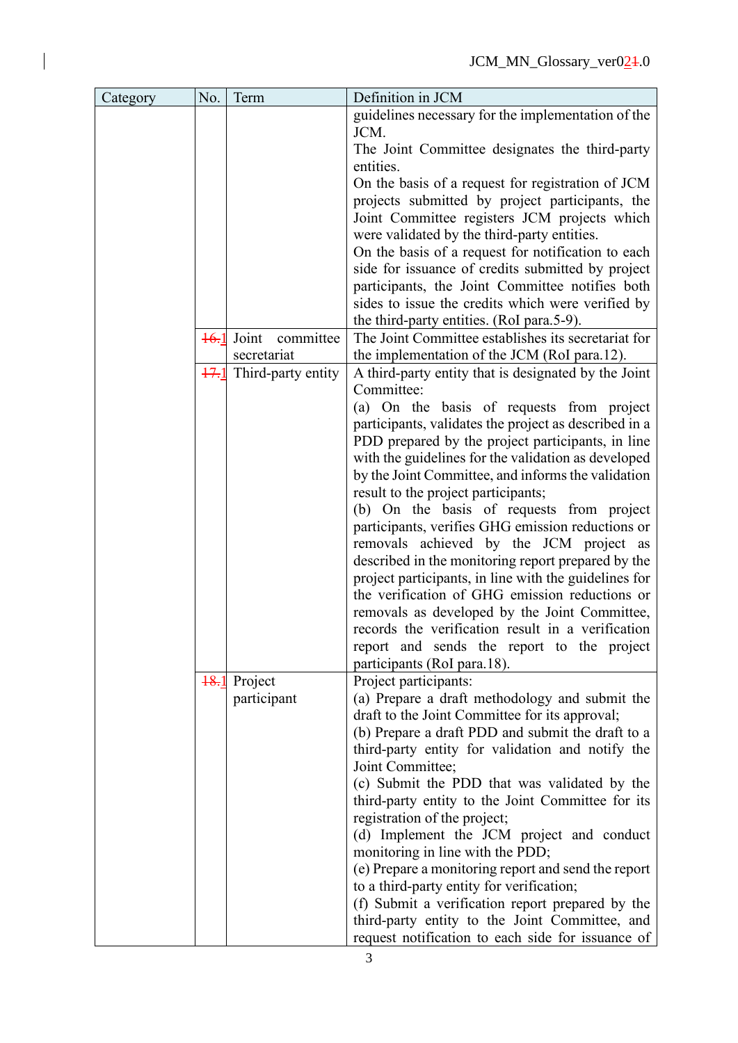| Category | No.  | Term                | Definition in JCM                                                                                   |
|----------|------|---------------------|-----------------------------------------------------------------------------------------------------|
|          |      |                     | guidelines necessary for the implementation of the<br>JCM.                                          |
|          |      |                     | The Joint Committee designates the third-party                                                      |
|          |      |                     | entities.                                                                                           |
|          |      |                     | On the basis of a request for registration of JCM                                                   |
|          |      |                     | projects submitted by project participants, the                                                     |
|          |      |                     | Joint Committee registers JCM projects which                                                        |
|          |      |                     | were validated by the third-party entities.                                                         |
|          |      |                     | On the basis of a request for notification to each                                                  |
|          |      |                     | side for issuance of credits submitted by project                                                   |
|          |      |                     | participants, the Joint Committee notifies both                                                     |
|          |      |                     | sides to issue the credits which were verified by                                                   |
|          |      |                     | the third-party entities. (RoI para.5-9).                                                           |
|          | 16.1 | Joint<br>committee  | The Joint Committee establishes its secretariat for                                                 |
|          |      | secretariat         | the implementation of the JCM (RoI para.12).                                                        |
|          | 17.1 | Third-party entity  | A third-party entity that is designated by the Joint                                                |
|          |      |                     | Committee:                                                                                          |
|          |      |                     | (a) On the basis of requests from project                                                           |
|          |      |                     | participants, validates the project as described in a                                               |
|          |      |                     | PDD prepared by the project participants, in line                                                   |
|          |      |                     | with the guidelines for the validation as developed                                                 |
|          |      |                     | by the Joint Committee, and informs the validation                                                  |
|          |      |                     | result to the project participants;                                                                 |
|          |      |                     | (b) On the basis of requests from project                                                           |
|          |      |                     | participants, verifies GHG emission reductions or                                                   |
|          |      |                     | removals achieved by the JCM project as<br>described in the monitoring report prepared by the       |
|          |      |                     | project participants, in line with the guidelines for                                               |
|          |      |                     | the verification of GHG emission reductions or                                                      |
|          |      |                     | removals as developed by the Joint Committee,                                                       |
|          |      |                     | records the verification result in a verification                                                   |
|          |      |                     | report and sends the report to the project                                                          |
|          |      |                     | participants (RoI para.18).                                                                         |
|          |      | <b>18.1</b> Project | Project participants:                                                                               |
|          |      | participant         | (a) Prepare a draft methodology and submit the                                                      |
|          |      |                     | draft to the Joint Committee for its approval;                                                      |
|          |      |                     | (b) Prepare a draft PDD and submit the draft to a                                                   |
|          |      |                     | third-party entity for validation and notify the                                                    |
|          |      |                     | Joint Committee;                                                                                    |
|          |      |                     | (c) Submit the PDD that was validated by the                                                        |
|          |      |                     | third-party entity to the Joint Committee for its                                                   |
|          |      |                     | registration of the project;                                                                        |
|          |      |                     | (d) Implement the JCM project and conduct                                                           |
|          |      |                     | monitoring in line with the PDD;                                                                    |
|          |      |                     | (e) Prepare a monitoring report and send the report                                                 |
|          |      |                     | to a third-party entity for verification;                                                           |
|          |      |                     | (f) Submit a verification report prepared by the                                                    |
|          |      |                     |                                                                                                     |
|          |      |                     | third-party entity to the Joint Committee, and<br>request notification to each side for issuance of |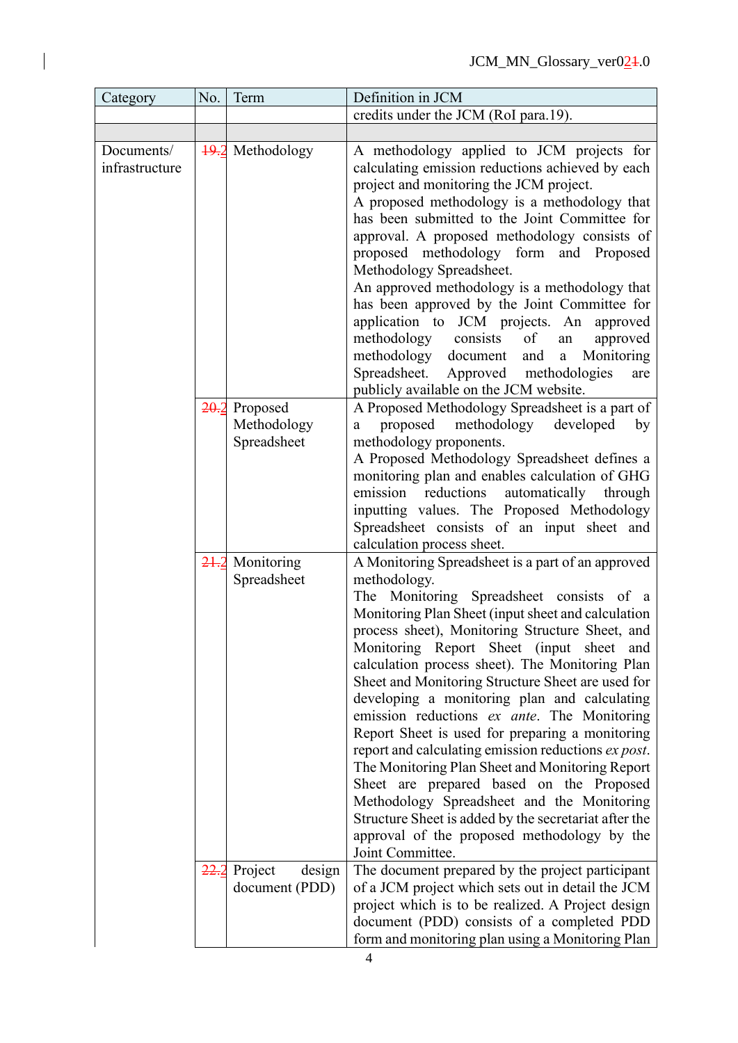| Category                     | No.              | Term                                   | Definition in JCM                                                                                                                                                                                                                                                                                                                                                                                                                                                                                                                                                                                                                                                                                                                                                                                                                                               |
|------------------------------|------------------|----------------------------------------|-----------------------------------------------------------------------------------------------------------------------------------------------------------------------------------------------------------------------------------------------------------------------------------------------------------------------------------------------------------------------------------------------------------------------------------------------------------------------------------------------------------------------------------------------------------------------------------------------------------------------------------------------------------------------------------------------------------------------------------------------------------------------------------------------------------------------------------------------------------------|
|                              |                  |                                        | credits under the JCM (RoI para.19).                                                                                                                                                                                                                                                                                                                                                                                                                                                                                                                                                                                                                                                                                                                                                                                                                            |
|                              |                  |                                        |                                                                                                                                                                                                                                                                                                                                                                                                                                                                                                                                                                                                                                                                                                                                                                                                                                                                 |
| Documents/<br>infrastructure | $+9.2$           | Methodology                            | A methodology applied to JCM projects for<br>calculating emission reductions achieved by each<br>project and monitoring the JCM project.<br>A proposed methodology is a methodology that<br>has been submitted to the Joint Committee for<br>approval. A proposed methodology consists of<br>proposed methodology form and Proposed<br>Methodology Spreadsheet.<br>An approved methodology is a methodology that<br>has been approved by the Joint Committee for<br>application to JCM projects. An approved<br>of<br>methodology<br>consists<br>approved<br>an<br>methodology document<br>and<br>Monitoring<br>$\mathbf{a}$<br>Approved methodologies<br>Spreadsheet.<br>are<br>publicly available on the JCM website.                                                                                                                                         |
|                              | 20.2             | Proposed<br>Methodology<br>Spreadsheet | A Proposed Methodology Spreadsheet is a part of<br>proposed methodology<br>developed<br>by<br>a<br>methodology proponents.<br>A Proposed Methodology Spreadsheet defines a<br>monitoring plan and enables calculation of GHG                                                                                                                                                                                                                                                                                                                                                                                                                                                                                                                                                                                                                                    |
|                              |                  |                                        | emission reductions<br>automatically<br>through<br>inputting values. The Proposed Methodology<br>Spreadsheet consists of an input sheet and<br>calculation process sheet.                                                                                                                                                                                                                                                                                                                                                                                                                                                                                                                                                                                                                                                                                       |
|                              | 21.2             | Monitoring<br>Spreadsheet              | A Monitoring Spreadsheet is a part of an approved<br>methodology.<br>The Monitoring Spreadsheet consists of a<br>Monitoring Plan Sheet (input sheet and calculation<br>process sheet), Monitoring Structure Sheet, and<br>Monitoring Report Sheet (input sheet<br>and<br>calculation process sheet). The Monitoring Plan<br>Sheet and Monitoring Structure Sheet are used for<br>developing a monitoring plan and calculating<br>emission reductions ex ante. The Monitoring<br>Report Sheet is used for preparing a monitoring<br>report and calculating emission reductions ex post.<br>The Monitoring Plan Sheet and Monitoring Report<br>Sheet are prepared based on the Proposed<br>Methodology Spreadsheet and the Monitoring<br>Structure Sheet is added by the secretariat after the<br>approval of the proposed methodology by the<br>Joint Committee. |
|                              | <del>22.</del> 2 | Project<br>design<br>document (PDD)    | The document prepared by the project participant<br>of a JCM project which sets out in detail the JCM<br>project which is to be realized. A Project design<br>document (PDD) consists of a completed PDD<br>form and monitoring plan using a Monitoring Plan                                                                                                                                                                                                                                                                                                                                                                                                                                                                                                                                                                                                    |

 $\overline{\phantom{a}}$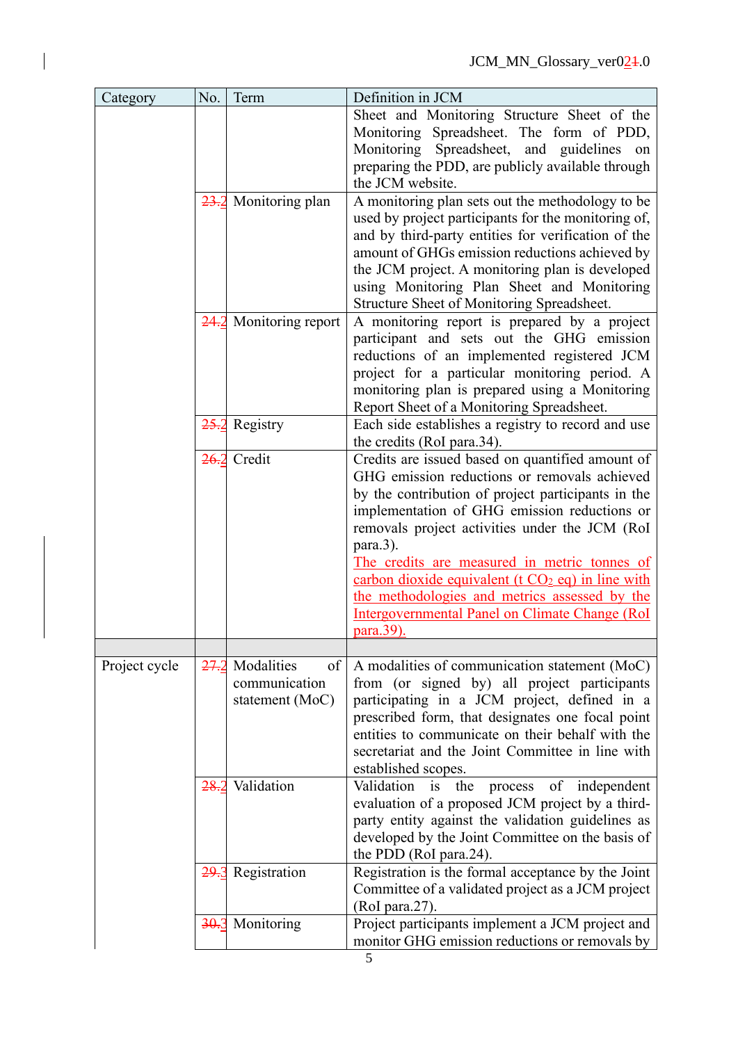| Category      | No.              | Term                                                 | Definition in JCM                                                                                                                                                                                                                                                                                                                                                                                                                                                                             |
|---------------|------------------|------------------------------------------------------|-----------------------------------------------------------------------------------------------------------------------------------------------------------------------------------------------------------------------------------------------------------------------------------------------------------------------------------------------------------------------------------------------------------------------------------------------------------------------------------------------|
|               |                  |                                                      | Sheet and Monitoring Structure Sheet of the<br>Monitoring Spreadsheet. The form of PDD,<br>Spreadsheet, and guidelines on<br>Monitoring<br>preparing the PDD, are publicly available through<br>the JCM website.                                                                                                                                                                                                                                                                              |
|               | 23.2             | Monitoring plan                                      | A monitoring plan sets out the methodology to be<br>used by project participants for the monitoring of,<br>and by third-party entities for verification of the<br>amount of GHGs emission reductions achieved by<br>the JCM project. A monitoring plan is developed<br>using Monitoring Plan Sheet and Monitoring<br>Structure Sheet of Monitoring Spreadsheet.                                                                                                                               |
|               | 24.2             | Monitoring report                                    | A monitoring report is prepared by a project<br>participant and sets out the GHG emission<br>reductions of an implemented registered JCM<br>project for a particular monitoring period. A<br>monitoring plan is prepared using a Monitoring<br>Report Sheet of a Monitoring Spreadsheet.                                                                                                                                                                                                      |
|               | 25.2             | Registry                                             | Each side establishes a registry to record and use<br>the credits (RoI para.34).                                                                                                                                                                                                                                                                                                                                                                                                              |
|               | <del>26.</del> 2 | Credit                                               | Credits are issued based on quantified amount of<br>GHG emission reductions or removals achieved<br>by the contribution of project participants in the<br>implementation of GHG emission reductions or<br>removals project activities under the JCM (RoI)<br>para.3).<br>The credits are measured in metric tonnes of<br>carbon dioxide equivalent ( $t CO2$ eq) in line with<br>the methodologies and metrics assessed by the<br>Intergovernmental Panel on Climate Change (RoI<br>para.39). |
| Project cycle | 27.2             | Modalities<br>of<br>communication<br>statement (MoC) | A modalities of communication statement (MoC)<br>from (or signed by) all project participants<br>participating in a JCM project, defined in a<br>prescribed form, that designates one focal point<br>entities to communicate on their behalf with the<br>secretariat and the Joint Committee in line with<br>established scopes.                                                                                                                                                              |
|               | 28.2             | Validation                                           | Validation<br>i <sub>s</sub><br>the<br>process<br>of independent<br>evaluation of a proposed JCM project by a third-<br>party entity against the validation guidelines as<br>developed by the Joint Committee on the basis of<br>the PDD (RoI para.24).                                                                                                                                                                                                                                       |
|               | 29.3             | Registration                                         | Registration is the formal acceptance by the Joint<br>Committee of a validated project as a JCM project<br>(RoI para.27).                                                                                                                                                                                                                                                                                                                                                                     |
|               | 30.3             | Monitoring                                           | Project participants implement a JCM project and<br>monitor GHG emission reductions or removals by                                                                                                                                                                                                                                                                                                                                                                                            |